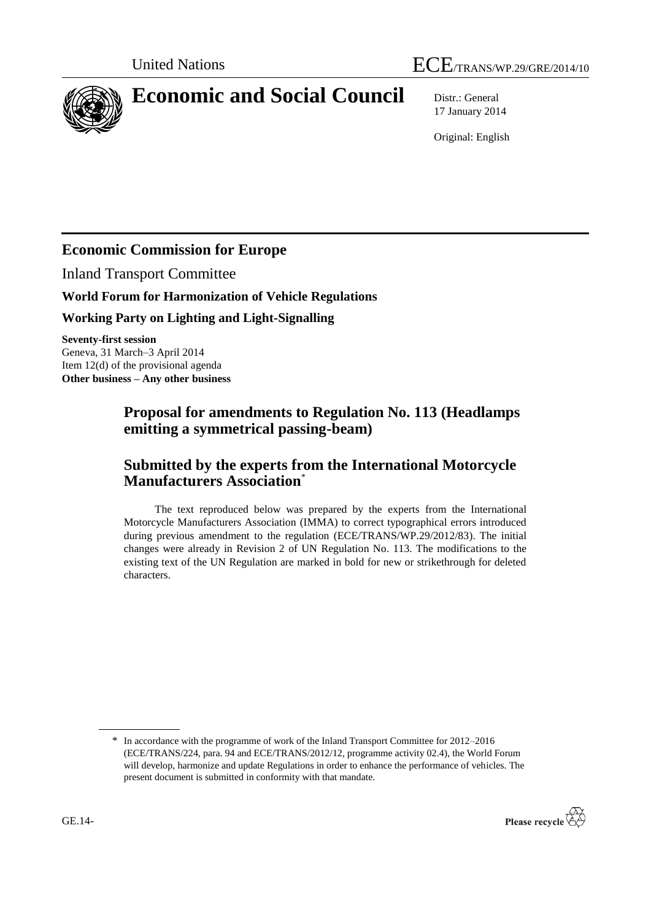

# **Economic and Social Council** Distr.: General

17 January 2014

Original: English

# **Economic Commission for Europe**

Inland Transport Committee

### **World Forum for Harmonization of Vehicle Regulations**

### **Working Party on Lighting and Light-Signalling**

**Seventy-first session** Geneva, 31 March–3 April 2014 Item 12(d) of the provisional agenda **Other business – Any other business**

## **Proposal for amendments to Regulation No. 113 (Headlamps emitting a symmetrical passing-beam)**

# **Submitted by the experts from the International Motorcycle Manufacturers Association**\*

The text reproduced below was prepared by the experts from the International Motorcycle Manufacturers Association (IMMA) to correct typographical errors introduced during previous amendment to the regulation (ECE/TRANS/WP.29/2012/83). The initial changes were already in Revision 2 of UN Regulation No. 113. The modifications to the existing text of the UN Regulation are marked in bold for new or strikethrough for deleted characters.

<sup>\*</sup> In accordance with the programme of work of the Inland Transport Committee for 2012–2016 (ECE/TRANS/224, para. 94 and ECE/TRANS/2012/12, programme activity 02.4), the World Forum will develop, harmonize and update Regulations in order to enhance the performance of vehicles. The present document is submitted in conformity with that mandate.

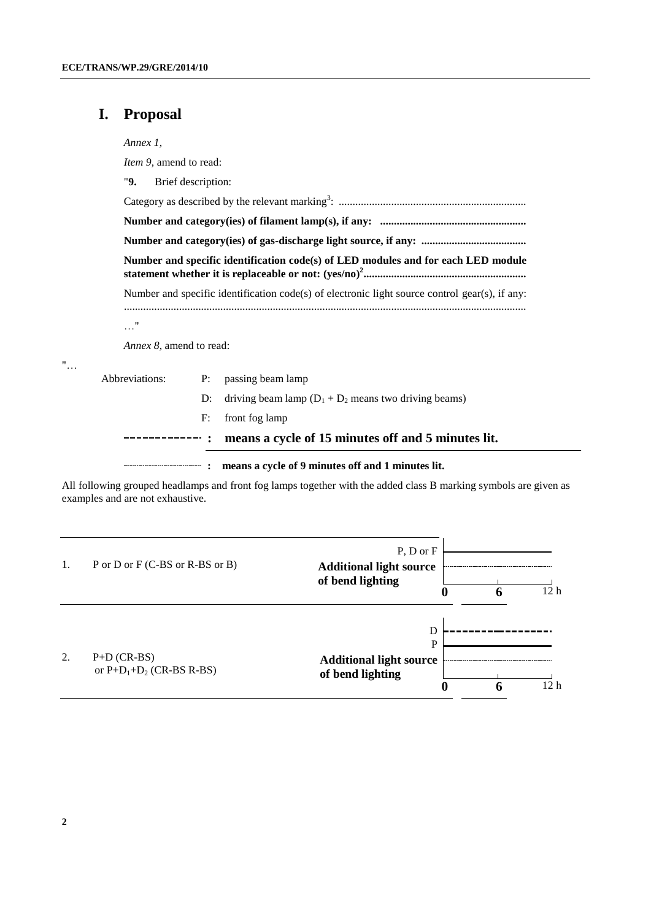## **I. Proposal**

*Annex 1,*

*Item 9*, amend to read:

"**9.** Brief description:

| Number and specific identification code(s) of electronic light source control gear(s), if any: |    |                                                          |  |  |  |  |
|------------------------------------------------------------------------------------------------|----|----------------------------------------------------------|--|--|--|--|
| $\ldots$ "                                                                                     |    |                                                          |  |  |  |  |
| <i>Annex 8</i> , amend to read:                                                                |    |                                                          |  |  |  |  |
| Abbreviations:                                                                                 | P: | passing beam lamp                                        |  |  |  |  |
|                                                                                                | D: | driving beam lamp $(D_1 + D_2)$ means two driving beams) |  |  |  |  |

F: front fog lamp

**: means a cycle of 15 minutes off and 5 minutes lit.** -----------

**: means a cycle of 9 minutes off and 1 minutes lit.**

All following grouped headlamps and front fog lamps together with the added class B marking symbols are given as examples and are not exhaustive.

| 1. | P or D or F (C-BS or R-BS or B)              | $P, D$ or $F$<br><b>Additional light source</b><br>of bend lighting<br>O | 12 <sub>h</sub> |
|----|----------------------------------------------|--------------------------------------------------------------------------|-----------------|
| 2. | $P+D$ (CR-BS)<br>or $P+D_1+D_2$ (CR-BS R-BS) | D<br><b>Additional light source</b><br>of bend lighting<br>O             | 12 h            |

"…

...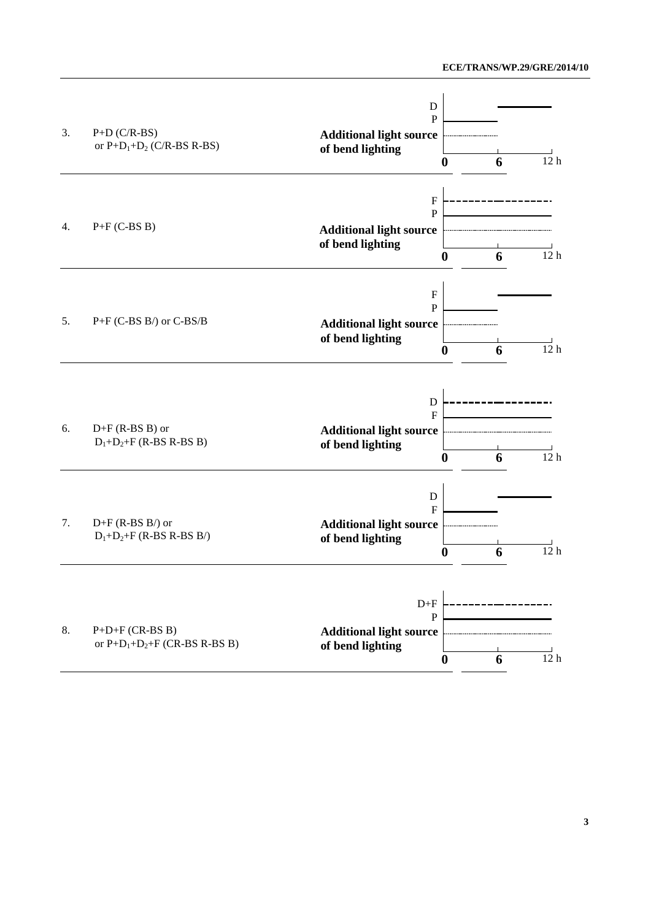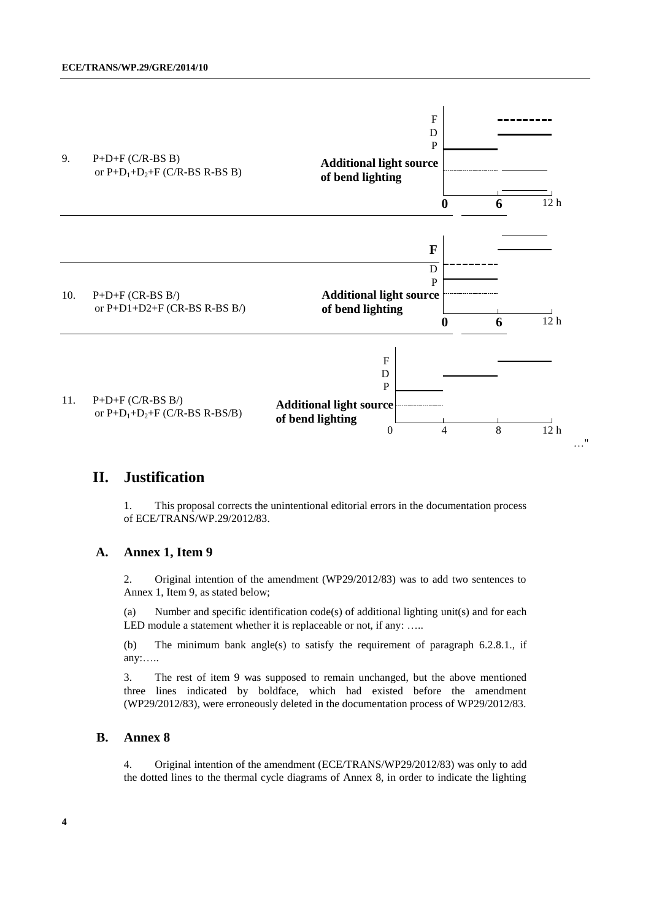

### **II. Justification**

1. This proposal corrects the unintentional editorial errors in the documentation process of ECE/TRANS/WP.29/2012/83.

#### **A. Annex 1, Item 9**

2. Original intention of the amendment (WP29/2012/83) was to add two sentences to Annex 1, Item 9, as stated below;

(a) Number and specific identification code(s) of additional lighting unit(s) and for each LED module a statement whether it is replaceable or not, if any: .....

(b) The minimum bank angle(s) to satisfy the requirement of paragraph 6.2.8.1., if any:…..

3. The rest of item 9 was supposed to remain unchanged, but the above mentioned three lines indicated by boldface, which had existed before the amendment (WP29/2012/83), were erroneously deleted in the documentation process of WP29/2012/83.

#### **B. Annex 8**

4. Original intention of the amendment (ECE/TRANS/WP29/2012/83) was only to add the dotted lines to the thermal cycle diagrams of Annex 8, in order to indicate the lighting